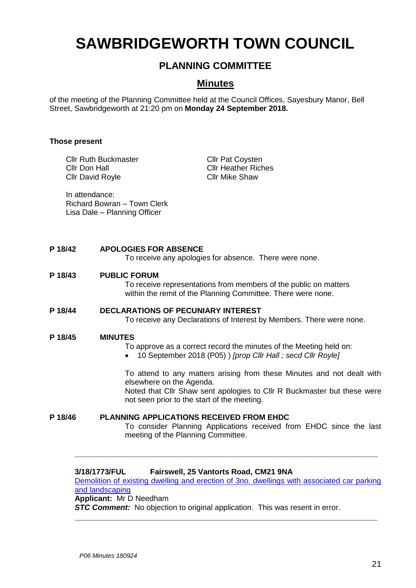# **SAWBRIDGEWORTH TOWN COUNCIL**

# **PLANNING COMMITTEE**

# **Minutes**

of the meeting of the Planning Committee held at the Council Offices, Sayesbury Manor, Bell Street, Sawbridgeworth at 21:20 pm on **Monday 24 September 2018.**

# **Those present**

Cllr Ruth Buckmaster Cllr Don Hall Cllr David Royle

Cllr Pat Coysten Cllr Heather Riches Cllr Mike Shaw

In attendance: Richard Bowran – Town Clerk Lisa Dale – Planning Officer

# **P 18/42 APOLOGIES FOR ABSENCE**

To receive any apologies for absence. There were none.

# **P 18/43 PUBLIC FORUM**

To receive representations from members of the public on matters within the remit of the Planning Committee. There were none.

# **P 18/44 DECLARATIONS OF PECUNIARY INTEREST**

To receive any Declarations of Interest by Members. There were none.

### **P 18/45 MINUTES**

To approve as a correct record the minutes of the Meeting held on:

10 September 2018 (P05) ) *[prop Cllr Hall ; secd Cllr Royle]*

To attend to any matters arising from these Minutes and not dealt with elsewhere on the Agenda.

Noted that Cllr Shaw sent apologies to Cllr R Buckmaster but these were not seen prior to the start of the meeting.

**P 18/46 PLANNING APPLICATIONS RECEIVED FROM EHDC** To consider Planning Applications received from EHDC since the last meeting of the Planning Committee.

# **3/18/1773/FUL Fairswell, 25 Vantorts Road, CM21 9NA**

[Demolition of existing dwelling and erection of 3no. dwellings with associated car parking](https://publicaccess.eastherts.gov.uk/online-applications/applicationDetails.do?activeTab=documents&keyVal=PCU9RCGLN5B00)  [and landscaping](https://publicaccess.eastherts.gov.uk/online-applications/applicationDetails.do?activeTab=documents&keyVal=PCU9RCGLN5B00) **Applicant:** Mr D Needham

**\_\_\_\_\_\_\_\_\_\_\_\_\_\_\_\_\_\_\_\_\_\_\_\_\_\_\_\_\_\_\_\_\_\_\_\_\_\_\_\_\_\_\_\_\_\_\_\_\_\_\_\_\_\_\_\_\_\_\_\_\_\_\_\_\_**

**\_\_\_\_\_\_\_\_\_\_\_\_\_\_\_\_\_\_\_\_\_\_\_\_\_\_\_\_\_\_\_\_\_\_\_\_\_\_\_\_\_\_\_\_\_\_\_\_\_\_\_\_\_\_\_\_\_\_\_\_\_\_\_\_\_**

**STC Comment:** No objection to original application. This was resent in error.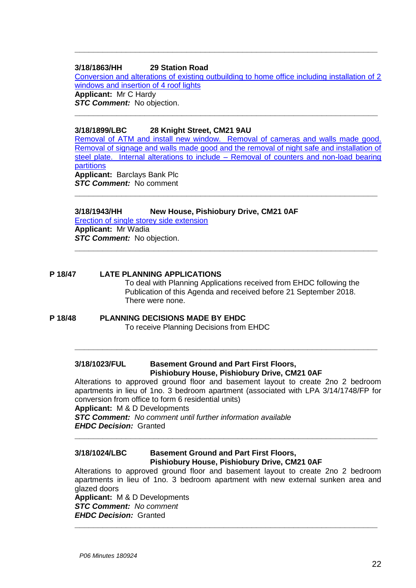# **3/18/1863/HH 29 Station Road**

[Conversion and alterations of existing outbuilding to home office including installation of 2](https://publicaccess.eastherts.gov.uk/online-applications/applicationDetails.do?activeTab=documents&keyVal=PDK74YGLFLI00)  [windows and insertion of 4 roof lights](https://publicaccess.eastherts.gov.uk/online-applications/applicationDetails.do?activeTab=documents&keyVal=PDK74YGLFLI00) **Applicant:** Mr C Hardy *STC Comment:* No objection.

**\_\_\_\_\_\_\_\_\_\_\_\_\_\_\_\_\_\_\_\_\_\_\_\_\_\_\_\_\_\_\_\_\_\_\_\_\_\_\_\_\_\_\_\_\_\_\_\_\_\_\_\_\_\_\_\_\_\_\_\_\_\_\_\_\_**

**\_\_\_\_\_\_\_\_\_\_\_\_\_\_\_\_\_\_\_\_\_\_\_\_\_\_\_\_\_\_\_\_\_\_\_\_\_\_\_\_\_\_\_\_\_\_\_\_\_\_\_\_\_\_\_\_\_\_\_\_\_\_\_\_\_**

# **3/18/1899/LBC 28 Knight Street, CM21 9AU**

[Removal of ATM and install new window. Removal of cameras and walls made good.](https://publicaccess.eastherts.gov.uk/online-applications/applicationDetails.do?activeTab=documents&keyVal=PDTGFVGLFNQ00)  [Removal of signage and walls made good and the removal of night safe and installation of](https://publicaccess.eastherts.gov.uk/online-applications/applicationDetails.do?activeTab=documents&keyVal=PDTGFVGLFNQ00)  [steel plate. Internal alterations to include –](https://publicaccess.eastherts.gov.uk/online-applications/applicationDetails.do?activeTab=documents&keyVal=PDTGFVGLFNQ00) Removal of counters and non-load bearing [partitions](https://publicaccess.eastherts.gov.uk/online-applications/applicationDetails.do?activeTab=documents&keyVal=PDTGFVGLFNQ00) **Applicant:** Barclays Bank Plc *STC Comment:* No comment

**\_\_\_\_\_\_\_\_\_\_\_\_\_\_\_\_\_\_\_\_\_\_\_\_\_\_\_\_\_\_\_\_\_\_\_\_\_\_\_\_\_\_\_\_\_\_\_\_\_\_\_\_\_\_\_\_\_\_\_\_\_\_\_\_\_**

**\_\_\_\_\_\_\_\_\_\_\_\_\_\_\_\_\_\_\_\_\_\_\_\_\_\_\_\_\_\_\_\_\_\_\_\_\_\_\_\_\_\_\_\_\_\_\_\_\_\_\_\_\_\_\_\_\_\_\_\_\_\_\_\_\_**

# **3/18/1943/HH New House, Pishiobury Drive, CM21 0AF**

[Erection of single storey side extension](https://publicaccess.eastherts.gov.uk/online-applications/applicationDetails.do?activeTab=documents&keyVal=PE6F3KGLFRA00) **Applicant:** Mr Wadia **STC Comment:** No objection.

# **P 18/47 LATE PLANNING APPLICATIONS**

To deal with Planning Applications received from EHDC following the Publication of this Agenda and received before 21 September 2018. There were none.

# **P 18/48 PLANNING DECISIONS MADE BY EHDC** To receive Planning Decisions from EHDC

# **3/18/1023/FUL Basement Ground and Part First Floors, Pishiobury House, Pishiobury Drive, CM21 0AF**

Alterations to approved ground floor and basement layout to create 2no 2 bedroom apartments in lieu of 1no. 3 bedroom apartment (associated with LPA 3/14/1748/FP for conversion from office to form 6 residential units)

**\_\_\_\_\_\_\_\_\_\_\_\_\_\_\_\_\_\_\_\_\_\_\_\_\_\_\_\_\_\_\_\_\_\_\_\_\_\_\_\_\_\_\_\_\_\_\_\_\_\_\_\_\_\_\_\_\_\_\_\_\_\_\_\_\_**

# **Applicant:** M & D Developments

*STC Comment: No comment until further information available EHDC Decision:* Granted

### **3/18/1024/LBC Basement Ground and Part First Floors, Pishiobury House, Pishiobury Drive, CM21 0AF**

Alterations to approved ground floor and basement layout to create 2no 2 bedroom apartments in lieu of 1no. 3 bedroom apartment with new external sunken area and glazed doors

**\_\_\_\_\_\_\_\_\_\_\_\_\_\_\_\_\_\_\_\_\_\_\_\_\_\_\_\_\_\_\_\_\_\_\_\_\_\_\_\_\_\_\_\_\_\_\_\_\_\_\_\_\_\_\_\_\_\_\_\_\_\_\_\_\_**

**\_\_\_\_\_\_\_\_\_\_\_\_\_\_\_\_\_\_\_\_\_\_\_\_\_\_\_\_\_\_\_\_\_\_\_\_\_\_\_\_\_\_\_\_\_\_\_\_\_\_\_\_\_\_\_\_\_\_\_\_\_\_\_\_\_**

**Applicant:** M & D Developments *STC Comment: No comment EHDC Decision:* Granted